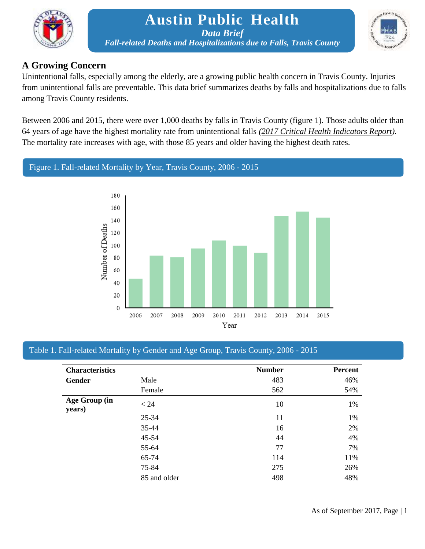

## **Austin Public Health** *Data Brief Fall-related Deaths and Hospitalizations due to Falls, Travis County*



## **A Growing Concern**

Unintentional falls, especially among the elderly, are a growing public health concern in Travis County. Injuries from unintentional falls are preventable. This data brief summarizes deaths by falls and hospitalizations due to falls among Travis County residents.

Between 2006 and 2015, there were over 1,000 deaths by falls in Travis County (figure 1). Those adults older than 64 years of age have the highest mortality rate from unintentional falls *[\(2017 Critical Health Indicators Report\)](http://www.austintexas.gov/sites/default/files/files/Health/Epidemiology/CHI_Report_3.20.17.pdf).* The mortality rate increases with age, with those 85 years and older having the highest death rates.

## Figure 1. Fall-related Mortality by Year, Travis County, 2006 - 2015



### Table 1. Fall-related Mortality by Gender and Age Group, Travis County, 2006 - 2015

| <b>Characteristics</b>  |              | <b>Number</b> | <b>Percent</b> |
|-------------------------|--------------|---------------|----------------|
| Gender                  | Male         | 483           | 46%            |
|                         | Female       | 562           | 54%            |
| Age Group (in<br>years) | < 24         | 10            | 1%             |
|                         | $25 - 34$    | 11            | 1%             |
|                         | 35-44        | 16            | 2%             |
|                         | $45 - 54$    | 44            | 4%             |
|                         | 55-64        | 77            | 7%             |
|                         | 65-74        | 114           | 11%            |
|                         | 75-84        | 275           | 26%            |
|                         | 85 and older | 498           | 48%            |